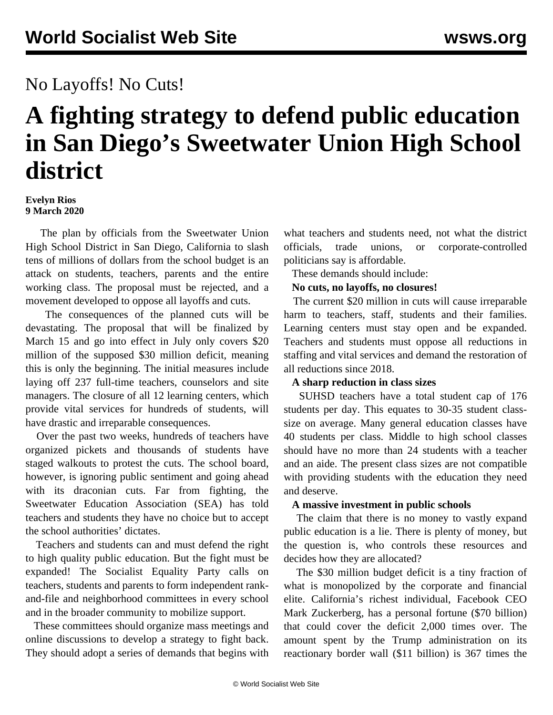## No Layoffs! No Cuts!

# **A fighting strategy to defend public education in San Diego's Sweetwater Union High School district**

#### **Evelyn Rios 9 March 2020**

 The plan by officials from the Sweetwater Union High School District in San Diego, California to slash tens of millions of dollars from the school budget is an attack on students, teachers, parents and the entire working class. The proposal must be rejected, and a movement developed to oppose all layoffs and cuts.

 The consequences of the planned cuts will be devastating. The proposal that will be finalized by March 15 and go into effect in July only covers \$20 million of the supposed \$30 million deficit, meaning this is only the beginning. The initial measures include laying off 237 full-time teachers, counselors and site managers. The closure of all 12 learning centers, which provide vital services for hundreds of students, will have drastic and irreparable consequences.

 Over the past two weeks, hundreds of teachers have organized pickets and thousands of students have staged walkouts to protest the cuts. The school board, however, is ignoring public sentiment and going ahead with its draconian cuts. Far from fighting, the Sweetwater Education Association (SEA) has told teachers and students they have no choice but to accept the school authorities' dictates.

 Teachers and students can and must defend the right to high quality public education. But the fight must be expanded! The Socialist Equality Party calls on teachers, students and parents to form independent rankand-file and neighborhood committees in every school and in the broader community to mobilize support.

 These committees should organize mass meetings and online discussions to develop a strategy to fight back. They should adopt a series of demands that begins with

what teachers and students need, not what the district officials, trade unions, or corporate-controlled politicians say is affordable.

These demands should include:

#### **No cuts, no layoffs, no closures!**

 The current \$20 million in cuts will cause irreparable harm to teachers, staff, students and their families. Learning centers must stay open and be expanded. Teachers and students must oppose all reductions in staffing and vital services and demand the restoration of all reductions since 2018.

#### **A sharp reduction in class sizes**

 SUHSD teachers have a total student cap of 176 students per day. This equates to 30-35 student classsize on average. Many general education classes have 40 students per class. Middle to high school classes should have no more than 24 students with a teacher and an aide. The present class sizes are not compatible with providing students with the education they need and deserve.

#### **A massive investment in public schools**

 The claim that there is no money to vastly expand public education is a lie. There is plenty of money, but the question is, who controls these resources and decides how they are allocated?

 The \$30 million budget deficit is a tiny fraction of what is monopolized by the corporate and financial elite. California's richest individual, Facebook CEO Mark Zuckerberg, has a personal fortune (\$70 billion) that could cover the deficit 2,000 times over. The amount spent by the Trump administration on its reactionary border wall (\$11 billion) is 367 times the